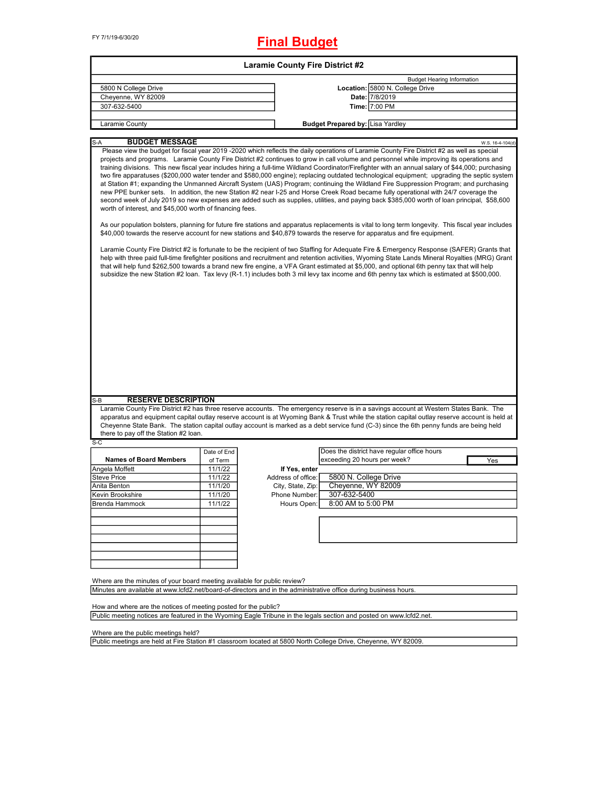# **Final Budget**

| <b>Laramie County Fire District #2</b>                                                                                                                                                                                                                                                                                                                                                                                                                                                                                                                                                                                                                                                                                                                                                                                                                                                                                                                                                                                                                                                                                                                                                                                                                                                                                                                                                                                                                                                                                                                                                                                                                                                                                                                                                                                                                                                                                                                                                                                                             |  |  |  |  |  |  |
|----------------------------------------------------------------------------------------------------------------------------------------------------------------------------------------------------------------------------------------------------------------------------------------------------------------------------------------------------------------------------------------------------------------------------------------------------------------------------------------------------------------------------------------------------------------------------------------------------------------------------------------------------------------------------------------------------------------------------------------------------------------------------------------------------------------------------------------------------------------------------------------------------------------------------------------------------------------------------------------------------------------------------------------------------------------------------------------------------------------------------------------------------------------------------------------------------------------------------------------------------------------------------------------------------------------------------------------------------------------------------------------------------------------------------------------------------------------------------------------------------------------------------------------------------------------------------------------------------------------------------------------------------------------------------------------------------------------------------------------------------------------------------------------------------------------------------------------------------------------------------------------------------------------------------------------------------------------------------------------------------------------------------------------------------|--|--|--|--|--|--|
| <b>Budget Hearing Information</b>                                                                                                                                                                                                                                                                                                                                                                                                                                                                                                                                                                                                                                                                                                                                                                                                                                                                                                                                                                                                                                                                                                                                                                                                                                                                                                                                                                                                                                                                                                                                                                                                                                                                                                                                                                                                                                                                                                                                                                                                                  |  |  |  |  |  |  |
| Location: 5800 N. College Drive                                                                                                                                                                                                                                                                                                                                                                                                                                                                                                                                                                                                                                                                                                                                                                                                                                                                                                                                                                                                                                                                                                                                                                                                                                                                                                                                                                                                                                                                                                                                                                                                                                                                                                                                                                                                                                                                                                                                                                                                                    |  |  |  |  |  |  |
| Date: 7/8/2019                                                                                                                                                                                                                                                                                                                                                                                                                                                                                                                                                                                                                                                                                                                                                                                                                                                                                                                                                                                                                                                                                                                                                                                                                                                                                                                                                                                                                                                                                                                                                                                                                                                                                                                                                                                                                                                                                                                                                                                                                                     |  |  |  |  |  |  |
| Time: 7:00 PM                                                                                                                                                                                                                                                                                                                                                                                                                                                                                                                                                                                                                                                                                                                                                                                                                                                                                                                                                                                                                                                                                                                                                                                                                                                                                                                                                                                                                                                                                                                                                                                                                                                                                                                                                                                                                                                                                                                                                                                                                                      |  |  |  |  |  |  |
| <b>Budget Prepared by: Lisa Yardley</b>                                                                                                                                                                                                                                                                                                                                                                                                                                                                                                                                                                                                                                                                                                                                                                                                                                                                                                                                                                                                                                                                                                                                                                                                                                                                                                                                                                                                                                                                                                                                                                                                                                                                                                                                                                                                                                                                                                                                                                                                            |  |  |  |  |  |  |
|                                                                                                                                                                                                                                                                                                                                                                                                                                                                                                                                                                                                                                                                                                                                                                                                                                                                                                                                                                                                                                                                                                                                                                                                                                                                                                                                                                                                                                                                                                                                                                                                                                                                                                                                                                                                                                                                                                                                                                                                                                                    |  |  |  |  |  |  |
| Laramie County<br><b>BUDGET MESSAGE</b><br>$S-A$<br>W.S. 16-4-104(d)<br>Please view the budget for fiscal year 2019 -2020 which reflects the daily operations of Laramie County Fire District #2 as well as special<br>projects and programs. Laramie County Fire District #2 continues to grow in call volume and personnel while improving its operations and<br>training divisions. This new fiscal year includes hiring a full-time Wildland Coordinator/Firefighter with an annual salary of \$44,000; purchasing<br>two fire apparatuses (\$200,000 water tender and \$580,000 engine); replacing outdated technological equipment; upgrading the septic system<br>at Station #1; expanding the Unmanned Aircraft System (UAS) Program; continuing the Wildland Fire Suppression Program; and purchasing<br>new PPE bunker sets. In addition, the new Station #2 near I-25 and Horse Creek Road became fully operational with 24/7 coverage the<br>second week of July 2019 so new expenses are added such as supplies, utilities, and paying back \$385,000 worth of loan principal, \$58,600<br>worth of interest, and \$45,000 worth of financing fees.<br>As our population bolsters, planning for future fire stations and apparatus replacements is vital to long term longevity. This fiscal year includes<br>\$40,000 towards the reserve account for new stations and \$40,879 towards the reserve for apparatus and fire equipment.<br>Laramie County Fire District #2 is fortunate to be the recipient of two Staffing for Adequate Fire & Emergency Response (SAFER) Grants that<br>help with three paid full-time firefighter positions and recruitment and retention activities, Wyoming State Lands Mineral Royalties (MRG) Grant<br>that will help fund \$262,500 towards a brand new fire engine, a VFA Grant estimated at \$5,000, and optional 6th penny tax that will help<br>subsidize the new Station #2 loan. Tax levy (R-1.1) includes both 3 mil levy tax income and 6th penny tax which is estimated at \$500,000. |  |  |  |  |  |  |
|                                                                                                                                                                                                                                                                                                                                                                                                                                                                                                                                                                                                                                                                                                                                                                                                                                                                                                                                                                                                                                                                                                                                                                                                                                                                                                                                                                                                                                                                                                                                                                                                                                                                                                                                                                                                                                                                                                                                                                                                                                                    |  |  |  |  |  |  |
| Laramie County Fire District #2 has three reserve accounts. The emergency reserve is in a savings account at Western States Bank. The<br>apparatus and equipment capital outlay reserve account is at Wyoming Bank & Trust while the station capital outlay reserve account is held at<br>Cheyenne State Bank. The station capital outlay account is marked as a debt service fund (C-3) since the 6th penny funds are being held                                                                                                                                                                                                                                                                                                                                                                                                                                                                                                                                                                                                                                                                                                                                                                                                                                                                                                                                                                                                                                                                                                                                                                                                                                                                                                                                                                                                                                                                                                                                                                                                                  |  |  |  |  |  |  |
|                                                                                                                                                                                                                                                                                                                                                                                                                                                                                                                                                                                                                                                                                                                                                                                                                                                                                                                                                                                                                                                                                                                                                                                                                                                                                                                                                                                                                                                                                                                                                                                                                                                                                                                                                                                                                                                                                                                                                                                                                                                    |  |  |  |  |  |  |
| Does the district have regular office hours                                                                                                                                                                                                                                                                                                                                                                                                                                                                                                                                                                                                                                                                                                                                                                                                                                                                                                                                                                                                                                                                                                                                                                                                                                                                                                                                                                                                                                                                                                                                                                                                                                                                                                                                                                                                                                                                                                                                                                                                        |  |  |  |  |  |  |
| exceeding 20 hours per week?<br>Yes                                                                                                                                                                                                                                                                                                                                                                                                                                                                                                                                                                                                                                                                                                                                                                                                                                                                                                                                                                                                                                                                                                                                                                                                                                                                                                                                                                                                                                                                                                                                                                                                                                                                                                                                                                                                                                                                                                                                                                                                                |  |  |  |  |  |  |
|                                                                                                                                                                                                                                                                                                                                                                                                                                                                                                                                                                                                                                                                                                                                                                                                                                                                                                                                                                                                                                                                                                                                                                                                                                                                                                                                                                                                                                                                                                                                                                                                                                                                                                                                                                                                                                                                                                                                                                                                                                                    |  |  |  |  |  |  |
| 5800 N. College Drive                                                                                                                                                                                                                                                                                                                                                                                                                                                                                                                                                                                                                                                                                                                                                                                                                                                                                                                                                                                                                                                                                                                                                                                                                                                                                                                                                                                                                                                                                                                                                                                                                                                                                                                                                                                                                                                                                                                                                                                                                              |  |  |  |  |  |  |
| Cheyenne, WY 82009                                                                                                                                                                                                                                                                                                                                                                                                                                                                                                                                                                                                                                                                                                                                                                                                                                                                                                                                                                                                                                                                                                                                                                                                                                                                                                                                                                                                                                                                                                                                                                                                                                                                                                                                                                                                                                                                                                                                                                                                                                 |  |  |  |  |  |  |
| 307-632-5400                                                                                                                                                                                                                                                                                                                                                                                                                                                                                                                                                                                                                                                                                                                                                                                                                                                                                                                                                                                                                                                                                                                                                                                                                                                                                                                                                                                                                                                                                                                                                                                                                                                                                                                                                                                                                                                                                                                                                                                                                                       |  |  |  |  |  |  |
| 8:00 AM to 5:00 PM                                                                                                                                                                                                                                                                                                                                                                                                                                                                                                                                                                                                                                                                                                                                                                                                                                                                                                                                                                                                                                                                                                                                                                                                                                                                                                                                                                                                                                                                                                                                                                                                                                                                                                                                                                                                                                                                                                                                                                                                                                 |  |  |  |  |  |  |
|                                                                                                                                                                                                                                                                                                                                                                                                                                                                                                                                                                                                                                                                                                                                                                                                                                                                                                                                                                                                                                                                                                                                                                                                                                                                                                                                                                                                                                                                                                                                                                                                                                                                                                                                                                                                                                                                                                                                                                                                                                                    |  |  |  |  |  |  |
|                                                                                                                                                                                                                                                                                                                                                                                                                                                                                                                                                                                                                                                                                                                                                                                                                                                                                                                                                                                                                                                                                                                                                                                                                                                                                                                                                                                                                                                                                                                                                                                                                                                                                                                                                                                                                                                                                                                                                                                                                                                    |  |  |  |  |  |  |
|                                                                                                                                                                                                                                                                                                                                                                                                                                                                                                                                                                                                                                                                                                                                                                                                                                                                                                                                                                                                                                                                                                                                                                                                                                                                                                                                                                                                                                                                                                                                                                                                                                                                                                                                                                                                                                                                                                                                                                                                                                                    |  |  |  |  |  |  |
| Minutes are available at www.lcfd2.net/board-of-directors and in the administrative office during business hours.                                                                                                                                                                                                                                                                                                                                                                                                                                                                                                                                                                                                                                                                                                                                                                                                                                                                                                                                                                                                                                                                                                                                                                                                                                                                                                                                                                                                                                                                                                                                                                                                                                                                                                                                                                                                                                                                                                                                  |  |  |  |  |  |  |
|                                                                                                                                                                                                                                                                                                                                                                                                                                                                                                                                                                                                                                                                                                                                                                                                                                                                                                                                                                                                                                                                                                                                                                                                                                                                                                                                                                                                                                                                                                                                                                                                                                                                                                                                                                                                                                                                                                                                                                                                                                                    |  |  |  |  |  |  |

Public meeting notices are featured in the Wyoming Eagle Tribune in the legals section and posted on www.lcfd2.net.

Where are the public meetings held?

Public meetings are held at Fire Station #1 classroom located at 5800 North College Drive, Cheyenne, WY 82009.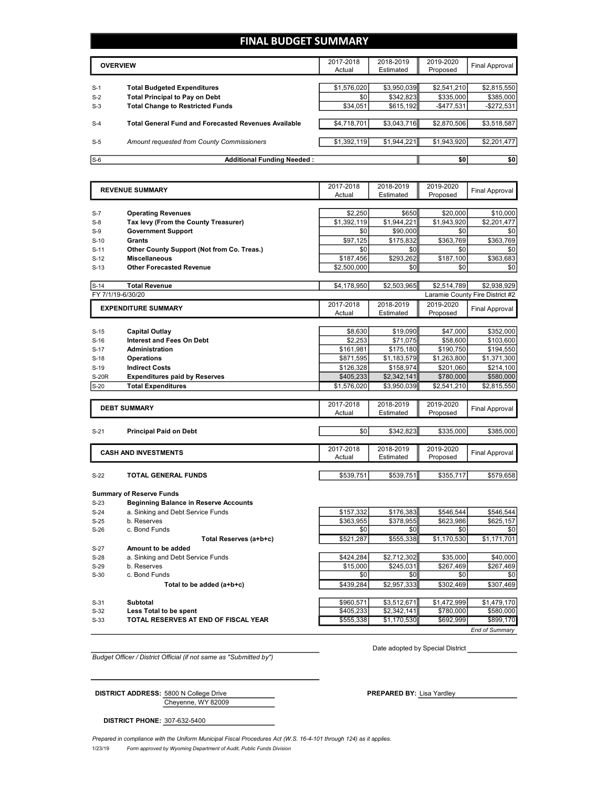# **FINAL BUDGET SUMMARY**

|       | <b>OVERVIEW</b>                                             | 2017-2018<br>Actual | 2018-2019<br>Estimated | 2019-2020<br>Proposed | Final Approval |
|-------|-------------------------------------------------------------|---------------------|------------------------|-----------------------|----------------|
|       |                                                             |                     |                        |                       |                |
| $S-1$ | <b>Total Budgeted Expenditures</b>                          | \$1,576,020         | \$3,950,039            | \$2,541,210           | \$2,815,550    |
| $S-2$ | <b>Total Principal to Pay on Debt</b>                       | \$0                 | \$342.823              | \$335,000             | \$385,000      |
| $S-3$ | <b>Total Change to Restricted Funds</b>                     | \$34,051            | \$615,192              | $-$ \$477,531         | $-$272,531$    |
|       |                                                             |                     |                        |                       |                |
| $S-4$ | <b>Total General Fund and Forecasted Revenues Available</b> | \$4,718,701         | \$3,043,716            | \$2,870,506           | \$3,518,587    |
|       |                                                             |                     |                        |                       |                |
| $S-5$ | Amount requested from County Commissioners                  | \$1,392,119         | \$1,944,221            | \$1,943,920           | \$2,201,477    |
|       |                                                             |                     |                        |                       |                |
| $S-6$ | <b>Additional Funding Needed:</b>                           |                     |                        | \$0                   | \$0            |

|              | <b>REVENUE SUMMARY</b>                                             | 2017-2018              | 2018-2019            | 2019-2020               | <b>Final Approval</b>           |
|--------------|--------------------------------------------------------------------|------------------------|----------------------|-------------------------|---------------------------------|
|              |                                                                    | Actual                 | Estimated            | Proposed                |                                 |
|              |                                                                    |                        |                      |                         | \$10,000                        |
| $S-7$        | <b>Operating Revenues</b><br>Tax levy (From the County Treasurer)  | \$2,250<br>\$1,392,119 | \$650<br>\$1,944,221 | \$20,000<br>\$1,943,920 | \$2,201,477                     |
| $S-8$        | <b>Government Support</b>                                          | \$0                    | \$90,000             | \$0                     |                                 |
| $S-9$        |                                                                    |                        |                      |                         | \$0                             |
| $S-10$       | <b>Grants</b>                                                      | \$97,125               | \$175,832            | \$363,769               | \$363,769                       |
| $S-11$       | Other County Support (Not from Co. Treas.)<br><b>Miscellaneous</b> | \$0<br>\$187,456       | \$0<br>\$293,262     | \$0<br>\$187,100        | \$0<br>\$363,683                |
| $S-12$       |                                                                    |                        |                      |                         |                                 |
| $S-13$       | <b>Other Forecasted Revenue</b>                                    | \$2,500,000            | \$0                  | \$0                     | \$0                             |
| $S-14$       | <b>Total Revenue</b>                                               | \$4,178,950            | \$2,503,965          | \$2,514,789             | \$2,938,929                     |
|              | FY 7/1/19-6/30/20                                                  |                        |                      |                         | Laramie County Fire District #2 |
|              |                                                                    | 2017-2018              | 2018-2019            | 2019-2020               |                                 |
|              | <b>EXPENDITURE SUMMARY</b>                                         |                        | Estimated            | Proposed                | <b>Final Approval</b>           |
|              |                                                                    |                        |                      |                         |                                 |
| $S-15$       | <b>Capital Outlay</b>                                              | \$8,630                | \$19,090             | \$47,000                | \$352,000                       |
| $S-16$       | <b>Interest and Fees On Debt</b>                                   | \$2.253                | \$71.075             | \$58,600                | \$103,600                       |
| $S-17$       | Administration                                                     | \$161,981              | \$175,180            | \$190,750               | \$194,550                       |
| $S-18$       | <b>Operations</b>                                                  | \$871,595              | \$1,183,579          | \$1,263,800             | \$1,371,300                     |
| $S-19$       | <b>Indirect Costs</b>                                              | \$126,328              | \$158,974            | \$201,060               | \$214,100                       |
| <b>S-20R</b> | <b>Expenditures paid by Reserves</b>                               | \$405,233              | \$2,342,141          | \$780,000               | \$580,000                       |
| $S-20$       | <b>Total Expenditures</b>                                          | \$1,576,020            | \$3,950,039          | \$2,541,210             | \$2,815,550                     |
|              |                                                                    |                        |                      |                         |                                 |
|              | <b>DEBT SUMMARY</b>                                                | 2017-2018              | 2018-2019            | 2019-2020               | <b>Final Approval</b>           |
|              |                                                                    | Actual                 | Estimated            | Proposed                |                                 |
|              |                                                                    |                        |                      |                         |                                 |
| $S-21$       | <b>Principal Paid on Debt</b>                                      | \$0                    | \$342,823            | \$335,000               | \$385,000                       |
|              |                                                                    |                        |                      |                         |                                 |
|              | <b>CASH AND INVESTMENTS</b>                                        | 2017-2018              | 2018-2019            | 2019-2020               | <b>Final Approval</b>           |
|              |                                                                    | Actual                 | Estimated            | Proposed                |                                 |
| $S-22$       | <b>TOTAL GENERAL FUNDS</b>                                         | \$539,751              | \$539,751            | \$355,717               | \$579,658                       |
|              |                                                                    |                        |                      |                         |                                 |
|              | <b>Summary of Reserve Funds</b>                                    |                        |                      |                         |                                 |
| $S-23$       | <b>Beginning Balance in Reserve Accounts</b>                       |                        |                      |                         |                                 |
| $S-24$       | a. Sinking and Debt Service Funds                                  | \$157,332              | \$176,383            | \$546,544               | \$546,544                       |
| $S-25$       | b. Reserves                                                        | \$363,955              | \$378,955            | \$623,986               | \$625,157                       |
| $S-26$       | c. Bond Funds                                                      | \$0                    | \$0                  | \$0                     | \$0                             |
|              | Total Reserves (a+b+c)                                             | \$521,287              | \$555,338            | \$1,170,530             | \$1,171,701                     |
| $S-27$       | Amount to be added                                                 |                        |                      |                         |                                 |
| $S-28$       | a. Sinking and Debt Service Funds                                  | \$424,284              | \$2,712,302          | \$35,000                | \$40,000                        |
| $S-29$       | b. Reserves                                                        | \$15,000               | \$245,031            | \$267,469               | \$267,469                       |
| $S-30$       | c. Bond Funds                                                      | \$0                    | \$0                  | \$0                     | \$0                             |
|              | Total to be added (a+b+c)                                          | \$439,284              | \$2,957,333          | \$302,469               | \$307,469                       |
|              |                                                                    |                        |                      |                         |                                 |

S-31 **Subtotal** \$960,571 \$3,512,671 \$1,472,999 \$1,479,170 S-32 **Less Total to be spent** \$405,233 \$2,342,141 \$780,000 \$580,000 S-33 **TOTAL RESERVES AT END OF FISCAL YEAR** \$555,338 \$1,170,530 \$692,999 \$899,170 *End of Summary*

*Budget Officer / District Official (if not same as "Submitted by")*

Date adopted by Special District

Cheyenne, WY 82009 **DISTRICT ADDRESS:** 5800 N College Drive **PREPARED BY:** Lisa Yardley

**DISTRICT PHONE:** 307-632-5400

1/23/19 *Form approved by Wyoming Department of Audit, Public Funds Division Prepared in compliance with the Uniform Municipal Fiscal Procedures Act (W.S. 16-4-101 through 124) as it applies.*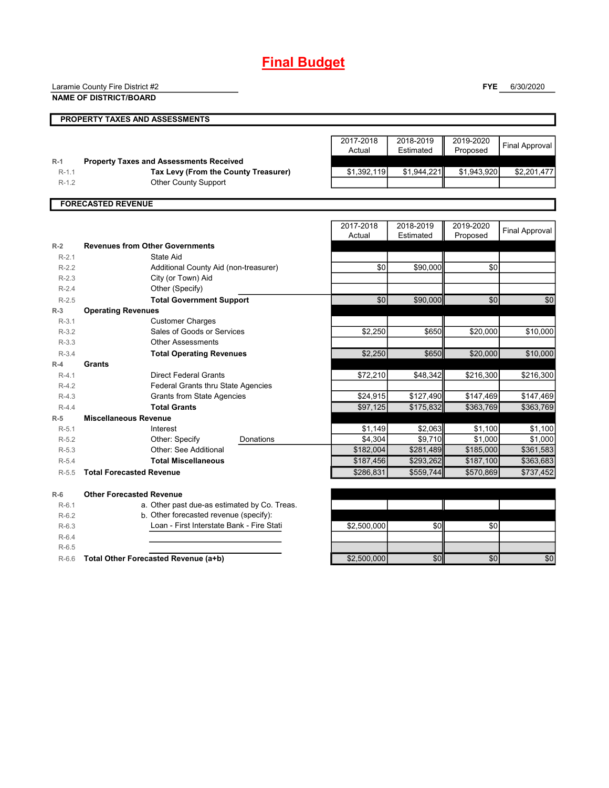# **Final Budget**

Laramie County Fire District #2

**NAME OF DISTRICT/BOARD**

**FYE** 6/30/2020

|           | PROPERTY TAXES AND ASSESSMENTS                 |             |             |             |                       |
|-----------|------------------------------------------------|-------------|-------------|-------------|-----------------------|
|           |                                                |             |             |             |                       |
|           |                                                | 2017-2018   | 2018-2019   | 2019-2020   | <b>Final Approval</b> |
|           |                                                | Actual      | Estimated   | Proposed    |                       |
| $R-1$     | <b>Property Taxes and Assessments Received</b> |             |             |             |                       |
| $R-1.1$   | Tax Levy (From the County Treasurer)           | \$1,392,119 | \$1,944,221 | \$1,943,920 | \$2,201,477           |
| $R-1.2$   | Other County Support                           |             |             |             |                       |
|           |                                                |             |             |             |                       |
|           | <b>FORECASTED REVENUE</b>                      |             |             |             |                       |
|           |                                                |             |             |             |                       |
|           |                                                | 2017-2018   | 2018-2019   | 2019-2020   |                       |
|           |                                                | Actual      | Estimated   | Proposed    | <b>Final Approval</b> |
| $R-2$     | <b>Revenues from Other Governments</b>         |             |             |             |                       |
| $R-2.1$   | State Aid                                      |             |             |             |                       |
| $R - 2.2$ | Additional County Aid (non-treasurer)          | \$0         | \$90,000    | \$0         |                       |
| $R - 2.3$ | City (or Town) Aid                             |             |             |             |                       |
| $R - 2.4$ | Other (Specify)                                |             |             |             |                       |
| $R-2.5$   | <b>Total Government Support</b>                | \$0         | \$90,000    | \$0         | \$0                   |
| $R-3$     | <b>Operating Revenues</b>                      |             |             |             |                       |
|           |                                                |             |             |             |                       |

| π-∠       | Revenues from Other Governments              |             |           |           |           |
|-----------|----------------------------------------------|-------------|-----------|-----------|-----------|
| $R-2.1$   | State Aid                                    |             |           |           |           |
| $R-2.2$   | Additional County Aid (non-treasurer)        | \$0         | \$90,000  | \$0       |           |
| $R - 2.3$ | City (or Town) Aid                           |             |           |           |           |
| $R-2.4$   | Other (Specify)                              |             |           |           |           |
| $R-2.5$   | <b>Total Government Support</b>              | \$0         | \$90,000  | \$0       | \$0       |
| $R-3$     | <b>Operating Revenues</b>                    |             |           |           |           |
| $R-3.1$   | <b>Customer Charges</b>                      |             |           |           |           |
| $R-3.2$   | Sales of Goods or Services                   | \$2,250     | \$650     | \$20,000  | \$10,000  |
| $R-3.3$   | <b>Other Assessments</b>                     |             |           |           |           |
| $R-3.4$   | <b>Total Operating Revenues</b>              | \$2,250     | \$650     | \$20,000  | \$10,000  |
| $R-4$     | <b>Grants</b>                                |             |           |           |           |
| $R-4.1$   | Direct Federal Grants                        | \$72,210    | \$48,342  | \$216,300 | \$216,300 |
| $R-4.2$   | Federal Grants thru State Agencies           |             |           |           |           |
| $R-4.3$   | <b>Grants from State Agencies</b>            | \$24,915    | \$127,490 | \$147,469 | \$147,469 |
| $R-4.4$   | <b>Total Grants</b>                          | \$97,125    | \$175,832 | \$363,769 | \$363,769 |
| $R-5$     | <b>Miscellaneous Revenue</b>                 |             |           |           |           |
| $R-5.1$   | Interest                                     | \$1,149     | \$2,063   | \$1,100   | \$1,100   |
| $R-5.2$   | Other: Specify<br>Donations                  | \$4,304     | \$9,710   | \$1,000   | \$1,000   |
| $R-5.3$   | Other: See Additional                        | \$182,004   | \$281,489 | \$185,000 | \$361,583 |
| $R-5.4$   | <b>Total Miscellaneous</b>                   | \$187,456   | \$293,262 | \$187,100 | \$363,683 |
| $R-5.5$   | <b>Total Forecasted Revenue</b>              | \$286,831   | \$559.744 | \$570.869 | \$737,452 |
| $R-6$     | <b>Other Forecasted Revenue</b>              |             |           |           |           |
| $R-6.1$   | a. Other past due-as estimated by Co. Treas. |             |           |           |           |
| $R-6.2$   | b. Other forecasted revenue (specify):       |             |           |           |           |
| $R-6.3$   | Loan - First Interstate Bank - Fire Stati    | \$2,500,000 | \$0       | \$0       |           |
| $R-6.4$   |                                              |             |           |           |           |
| $R-6.5$   |                                              |             |           |           |           |
| $R-6.6$   | Total Other Forecasted Revenue (a+b)         | \$2,500,000 | \$0       | \$0       | \$0       |
|           |                                              |             |           |           |           |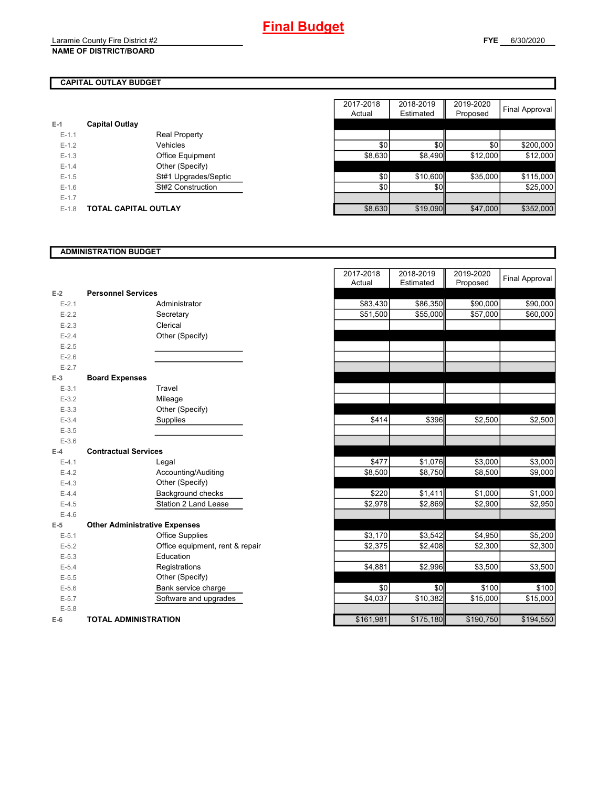# **CAPITAL OUTLAY BUDGET**

| $E-1$     | <b>Capital Outlay</b> |                         |
|-----------|-----------------------|-------------------------|
| $E - 1.1$ |                       | <b>Real Property</b>    |
| $F-12$    |                       | Vehicles                |
| $F-1.3$   |                       | <b>Office Equipment</b> |
| $F - 1.4$ |                       | Other (Specify)         |
| $F-1.5$   |                       | St#1 Upgrades/Septic    |
| $F-16$    |                       | St#2 Construction       |
| $F-17$    |                       |                         |
| $F-1.8$   | TOTAL CAPITAL OUTLAY  |                         |

|         |                       |                         | 2017-2018 | 2018-2019 | 2019-2020 |                |
|---------|-----------------------|-------------------------|-----------|-----------|-----------|----------------|
|         |                       |                         | Actual    | Estimated | Proposed  | Final Approval |
|         | <b>Capital Outlay</b> |                         |           |           |           |                |
| $E-1.1$ |                       | <b>Real Property</b>    |           |           |           |                |
| $E-1.2$ |                       | Vehicles                | \$0       | \$0       | \$0       | \$200,000      |
| $E-1.3$ |                       | <b>Office Equipment</b> | \$8,630   | \$8,490   | \$12,000  | \$12,000       |
| $E-1.4$ |                       | Other (Specify)         |           |           |           |                |
| $E-1.5$ |                       | St#1 Upgrades/Septic    | \$0       | \$10,600  | \$35,000  | \$115,000      |
| $E-1.6$ |                       | St#2 Construction       | \$0       | \$0       |           | \$25,000       |
| $E-1.7$ |                       |                         |           |           |           |                |
| $E-1.8$ | TOTAL CAPITAL OUTLAY  |                         | \$8,630   | \$19,090  | \$47,000  | \$352,000      |

# **ADMINISTRATION BUDGET**

| $E-2$     | <b>Personnel Services</b>            |                              |
|-----------|--------------------------------------|------------------------------|
| $E - 2.1$ |                                      | Administrator                |
| $E-2.2$   |                                      | Secretary                    |
| $E - 2.3$ |                                      | Clerical                     |
| $E - 2.4$ |                                      | Other (Specify)              |
| $E - 2.5$ |                                      |                              |
| $E - 2.6$ |                                      |                              |
| $E - 2.7$ |                                      |                              |
| $E-3$     | <b>Board Expenses</b>                |                              |
| $E - 3.1$ |                                      | Travel                       |
| $E - 3.2$ |                                      | Mileage                      |
| $E - 3.3$ |                                      | Other (Specify)              |
| $E - 3.4$ |                                      | Supplies                     |
| $E - 3.5$ |                                      |                              |
| $E - 3.6$ |                                      |                              |
| $E-4$     | <b>Contractual Services</b>          |                              |
| $E - 4.1$ |                                      | Legal                        |
| $E-4.2$   |                                      | Accounting/Auditing          |
| $E - 4.3$ |                                      | Other (Specify)              |
| $E - 4.4$ |                                      | Background checks            |
| $E - 4.5$ |                                      | Station 2 Land Lease         |
| $F-46$    |                                      |                              |
| $E-5$     | <b>Other Administrative Expenses</b> |                              |
| $E - 5.1$ |                                      | <b>Office Supplies</b>       |
| $E - 5.2$ |                                      | Office equipment, rent & rep |
| $E - 5.3$ |                                      | Education                    |
| $E - 5.4$ |                                      | Registrations                |
| $E - 5.5$ |                                      | Other (Specify)              |
| $E - 5.6$ |                                      | Bank service charge          |
| $E - 5.7$ |                                      | Software and upgrades        |
| $E - 5.8$ |                                      |                              |
| $E-6$     | <b>TOTAL ADMINISTRATION</b>          |                              |

|                          |                                      | 2017-2018 | 2018-2019 | 2019-2020 | <b>Final Approval</b> |
|--------------------------|--------------------------------------|-----------|-----------|-----------|-----------------------|
|                          |                                      | Actual    | Estimated | Proposed  |                       |
| Ż                        | <b>Personnel Services</b>            |           |           |           |                       |
| $E - 2.1$                | Administrator                        | \$83,430  | \$86,350  | \$90,000  | \$90,000              |
| $E - 2.2$                | Secretary                            | \$51,500  | \$55,000  | \$57,000  | \$60,000              |
| $E - 2.3$                | Clerical                             |           |           |           |                       |
| $E - 2.4$                | Other (Specify)                      |           |           |           |                       |
| $E-2.5$                  |                                      |           |           |           |                       |
| $E - 2.6$                |                                      |           |           |           |                       |
| $E - 2.7$                |                                      |           |           |           |                       |
| $\overline{\phantom{0}}$ | <b>Board Expenses</b>                |           |           |           |                       |
| $E-3.1$                  | Travel                               |           |           |           |                       |
| $E - 3.2$                | Mileage                              |           |           |           |                       |
| $E - 3.3$                | Other (Specify)                      |           |           |           |                       |
| $E - 3.4$                | Supplies                             | \$414     | \$396     | \$2,500   | \$2,500               |
| $E - 3.5$                |                                      |           |           |           |                       |
| $E - 3.6$                |                                      |           |           |           |                       |
| Ļ.                       | <b>Contractual Services</b>          |           |           |           |                       |
| $E - 4.1$                | Legal                                | \$477     | \$1,076   | \$3,000   | \$3,000               |
| $E - 4.2$                | Accounting/Auditing                  | \$8,500   | \$8,750   | \$8,500   | \$9,000               |
| $E - 4.3$                | Other (Specify)                      |           |           |           |                       |
| $E - 4.4$                | Background checks                    | \$220     | \$1,411   | \$1,000   | \$1,000               |
| $E-4.5$                  | Station 2 Land Lease                 | \$2,978   | \$2,869   | \$2,900   | \$2,950               |
| $E - 4.6$                |                                      |           |           |           |                       |
| 5                        | <b>Other Administrative Expenses</b> |           |           |           |                       |
| $E - 5.1$                | <b>Office Supplies</b>               | \$3,170   | \$3,542   | \$4,950   | \$5,200               |
| $E - 5.2$                | Office equipment, rent & repair      | \$2,375   | \$2,408   | \$2,300   | \$2,300               |
| $E - 5.3$                | Education                            |           |           |           |                       |
| $E - 5.4$                | Registrations                        | \$4,881   | \$2,996   | \$3,500   | \$3,500               |
| $E - 5.5$                | Other (Specify)                      |           |           |           |                       |
| $E - 5.6$                | Bank service charge                  | \$0       | \$0       | \$100     | \$100                 |
| $E - 5.7$                | Software and upgrades                | \$4,037   | \$10,382  | \$15,000  | \$15,000              |
| $E - 5.8$                |                                      |           |           |           |                       |
| ŝ                        | <b>TOTAL ADMINISTRATION</b>          | \$161,981 | \$175,180 | \$190,750 | \$194,550             |
|                          |                                      |           |           |           |                       |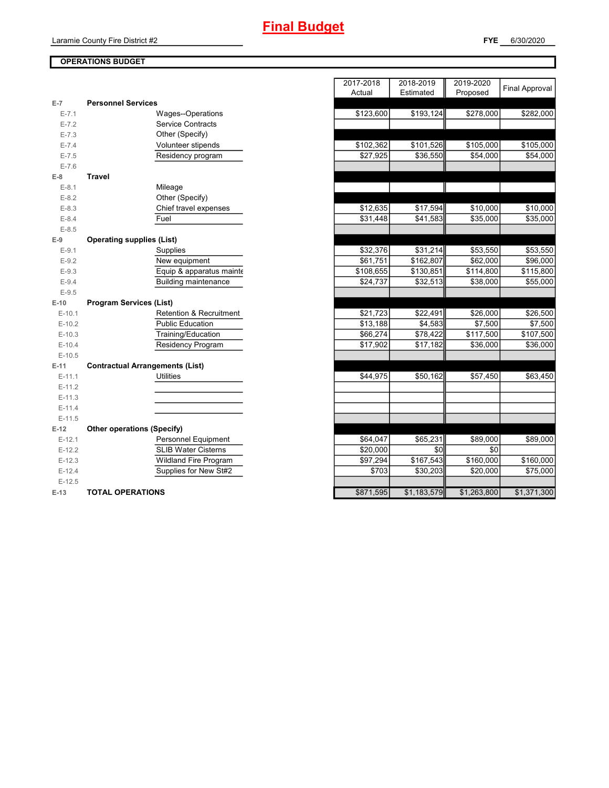**FYE** 6/30/2020

# **OPERATIONS BUDGET**

| $E-7$     | <b>Personnel Services</b>              |           |             |             |             |
|-----------|----------------------------------------|-----------|-------------|-------------|-------------|
| $E - 7.1$ | Wages--Operations                      | \$123,600 | \$193,124   | \$278,000   | \$282,000   |
| $E - 7.2$ | <b>Service Contracts</b>               |           |             |             |             |
| $E - 7.3$ | Other (Specify)                        |           |             |             |             |
| $E - 7.4$ | Volunteer stipends                     | \$102,362 | \$101,526   | \$105,000   | \$105,000   |
| $E - 7.5$ | Residency program                      | \$27,925  | \$36,550    | \$54,000    | \$54,000    |
| $E - 7.6$ |                                        |           |             |             |             |
| $E-8$     | <b>Travel</b>                          |           |             |             |             |
| $E-8.1$   | Mileage                                |           |             |             |             |
| $E - 8.2$ | Other (Specify)                        |           |             |             |             |
| $E - 8.3$ | Chief travel expenses                  | \$12,635  | \$17,594    | \$10,000    | \$10,000    |
| $E - 8.4$ | Fuel                                   | \$31,448  | \$41,583    | \$35,000    | \$35,000    |
| $E - 8.5$ |                                        |           |             |             |             |
| $E-9$     | <b>Operating supplies (List)</b>       |           |             |             |             |
| $E-9.1$   | Supplies                               | \$32,376  | \$31,214    | \$53,550    | \$53,550    |
| $E - 9.2$ | New equipment                          | \$61,751  | \$162,807   | \$62,000    | \$96,000    |
| $E - 9.3$ | Equip & apparatus mainte               | \$108,655 | \$130,851   | \$114,800   | \$115,800   |
| $E-9.4$   | <b>Building maintenance</b>            | \$24,737  | \$32,513    | \$38,000    | \$55,000    |
| $E-9.5$   |                                        |           |             |             |             |
| $E-10$    | <b>Program Services (List)</b>         |           |             |             |             |
| $E-10.1$  | Retention & Recruitment                | \$21,723  | \$22,491    | \$26,000    | \$26,500    |
| $E-10.2$  | <b>Public Education</b>                | \$13,188  | \$4,583     | \$7,500     | \$7,500     |
| $E-10.3$  | Training/Education                     | \$66,274  | \$78,422    | \$117,500   | \$107,500   |
| $E-10.4$  | Residency Program                      | \$17,902  | \$17,182    | \$36,000    | \$36,000    |
| $E-10.5$  |                                        |           |             |             |             |
| $E-11$    | <b>Contractual Arrangements (List)</b> |           |             |             |             |
| $E-11.1$  | <b>Utilities</b>                       | \$44,975  | \$50,162    | \$57,450    | \$63,450    |
| $E-11.2$  |                                        |           |             |             |             |
| $E-11.3$  |                                        |           |             |             |             |
| $E-11.4$  |                                        |           |             |             |             |
| $E-11.5$  |                                        |           |             |             |             |
| $E-12$    | <b>Other operations (Specify)</b>      |           |             |             |             |
| $E-12.1$  | Personnel Equipment                    | \$64,047  | \$65,231    | \$89,000    | \$89,000    |
| $E-12.2$  | <b>SLIB Water Cisterns</b>             | \$20,000  | \$0         | \$0         |             |
| $E-12.3$  | <b>Wildland Fire Program</b>           | \$97,294  | \$167,543   | \$160,000   | \$160,000   |
| $E-12.4$  | Supplies for New St#2                  | \$703     | \$30,203    | \$20,000    | \$75,000    |
| $E-12.5$  |                                        |           |             |             |             |
| E-13      | <b>TOTAL OPERATIONS</b>                | \$871,595 | \$1,183,579 | \$1,263,800 | \$1,371,300 |

|                |                                        | 2017-2018<br>Actual | 2018-2019<br>Estimated | 2019-2020<br>Proposed | <b>Final Approval</b> |
|----------------|----------------------------------------|---------------------|------------------------|-----------------------|-----------------------|
| $\overline{7}$ | <b>Personnel Services</b>              |                     |                        |                       |                       |
| $E - 7.1$      | Wages--Operations                      | \$123,600           | \$193,124              | \$278,000             | \$282,000             |
| $E - 7.2$      | <b>Service Contracts</b>               |                     |                        |                       |                       |
| $E - 7.3$      | Other (Specify)                        |                     |                        |                       |                       |
| $E - 7.4$      | Volunteer stipends                     | \$102,362           | \$101,526              | \$105,000             | \$105,000             |
| $E - 7.5$      | Residency program                      | \$27,925            | $\overline{$}36,550$   | \$54,000              | \$54,000              |
| $E - 7.6$      |                                        |                     |                        |                       |                       |
| 8              | <b>Travel</b>                          |                     |                        |                       |                       |
| $E-8.1$        | Mileage                                |                     |                        |                       |                       |
| $E-8.2$        | Other (Specify)                        |                     |                        |                       |                       |
| $E - 8.3$      | Chief travel expenses                  | \$12,635            | \$17,594               | \$10,000              | \$10,000              |
| $E - 8.4$      | Fuel                                   | \$31,448            | \$41,583               | \$35,000              | \$35,000              |
| $E - 8.5$      |                                        |                     |                        |                       |                       |
| 9              | <b>Operating supplies (List)</b>       |                     |                        |                       |                       |
| $E-9.1$        | Supplies                               | \$32,376            | \$31,214               | \$53,550              | \$53,550              |
| $E-9.2$        | New equipment                          | \$61,751            | \$162,807              | \$62,000              | \$96,000              |
| $E - 9.3$      | Equip & apparatus mainte               | \$108,655           | \$130,851              | \$114,800             | \$115,800             |
| $E - 9.4$      | <b>Building maintenance</b>            | \$24,737            | \$32,513               | \$38,000              | \$55,000              |
| $E-9.5$        |                                        |                     |                        |                       |                       |
| 10             | <b>Program Services (List)</b>         |                     |                        |                       |                       |
| $E-10.1$       | Retention & Recruitment                | \$21,723            | \$22,491               | \$26,000              | \$26,500              |
| $E-10.2$       | <b>Public Education</b>                | \$13,188            | \$4,583                | \$7,500               | \$7,500               |
| $E-10.3$       | Training/Education                     | \$66,274            | \$78,422               | \$117,500             | \$107,500             |
| $E-10.4$       | <b>Residency Program</b>               | \$17,902            | \$17,182               | \$36,000              | \$36,000              |
| $E-10.5$       |                                        |                     |                        |                       |                       |
| 11             | <b>Contractual Arrangements (List)</b> |                     |                        |                       |                       |
| E-11.1         | <b>Utilities</b>                       | \$44,975            | \$50,162               | \$57,450              | \$63,450              |
| $E-11.2$       |                                        |                     |                        |                       |                       |
| E-11.3         |                                        |                     |                        |                       |                       |
| $E-11.4$       |                                        |                     |                        |                       |                       |
| $E-11.5$       |                                        |                     |                        |                       |                       |
| 12             | <b>Other operations (Specify)</b>      |                     |                        |                       |                       |
| $E-12.1$       | Personnel Equipment                    | \$64,047            | \$65,231               | \$89,000              | \$89,000              |
| $E-12.2$       | <b>SLIB Water Cisterns</b>             | \$20,000            | \$0                    | \$0                   |                       |
| E-12.3         | <b>Wildland Fire Program</b>           | \$97,294            | \$167,543              | \$160,000             | \$160,000             |
| $E-12.4$       | Supplies for New St#2                  | \$703               | \$30,203               | \$20,000              | \$75,000              |
| $E-12.5$       |                                        |                     |                        |                       |                       |
| $13 -$         | TOTAL OPERATIONS                       | \$871 595           | \$1 183 579            | \$1,263,800           | \$1,371,300           |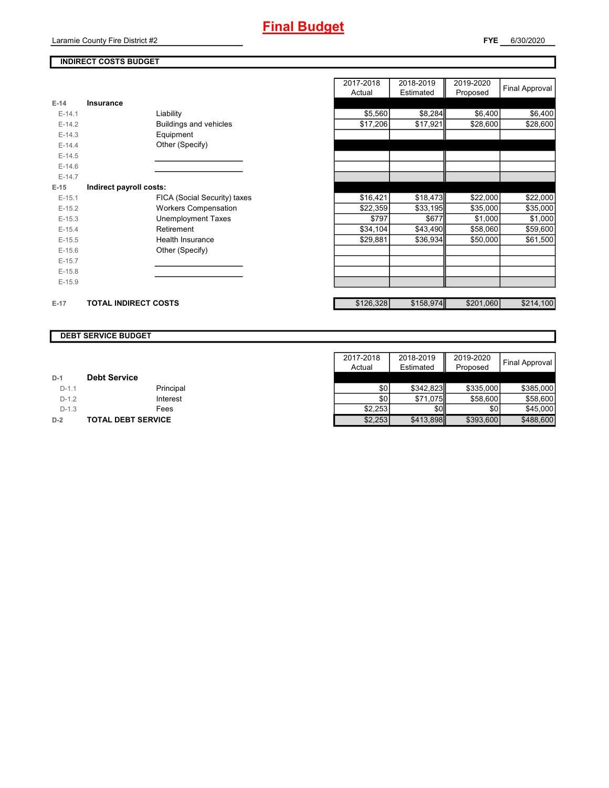# **INDIRECT COSTS BUDGET**

|          |                              | Actual    | Estimated | Proposed  | . .       |
|----------|------------------------------|-----------|-----------|-----------|-----------|
| $E-14$   | Insurance                    |           |           |           |           |
| $E-14.1$ | Liability                    | \$5,560   | \$8,284   | \$6,400   | \$6,400   |
| $E-14.2$ | Buildings and vehicles       | \$17,206  | \$17,921  | \$28,600  | \$28,600  |
| $E-14.3$ | Equipment                    |           |           |           |           |
| $E-14.4$ | Other (Specify)              |           |           |           |           |
| $E-14.5$ |                              |           |           |           |           |
| $E-14.6$ |                              |           |           |           |           |
| $E-14.7$ |                              |           |           |           |           |
| $E-15$   | Indirect payroll costs:      |           |           |           |           |
| $E-15.1$ | FICA (Social Security) taxes | \$16,421  | \$18,473  | \$22,000  | \$22,000  |
| $E-15.2$ | <b>Workers Compensation</b>  | \$22,359  | \$33,195  | \$35,000  | \$35,000  |
| $E-15.3$ | <b>Unemployment Taxes</b>    | \$797     | \$677     | \$1,000   | \$1,000   |
| $E-15.4$ | Retirement                   | \$34,104  | \$43,490  | \$58,060  | \$59,600  |
| $E-15.5$ | Health Insurance             | \$29,881  | \$36,934  | \$50,000  | \$61,500  |
| $E-15.6$ | Other (Specify)              |           |           |           |           |
| $E-15.7$ |                              |           |           |           |           |
| $E-15.8$ |                              |           |           |           |           |
| $E-15.9$ |                              |           |           |           |           |
| $E-17$   | <b>TOTAL INDIRECT COSTS</b>  | \$126,328 | \$158,974 | \$201,060 | \$214,100 |

| 2017-2018<br>Actual | 2018-2019<br>Estimated | 2019-2020<br>Proposed | <b>Final Approval</b> |
|---------------------|------------------------|-----------------------|-----------------------|
|                     |                        |                       |                       |
| \$5,560             | \$8,284                | \$6,400               | \$6,400               |
|                     |                        |                       |                       |
| \$17,206            | \$17,921               | \$28,600              | \$28,600              |
|                     |                        |                       |                       |
|                     |                        |                       |                       |
|                     |                        |                       |                       |
|                     |                        |                       |                       |
|                     |                        |                       |                       |
|                     |                        |                       |                       |
| \$16,421            | \$18,473               | \$22,000              | \$22,000              |
| \$22,359            | \$33,195               | \$35,000              | \$35,000              |
| \$797               | \$677                  | \$1,000               | \$1,000               |
| \$34,104            | \$43,490               | \$58,060              | \$59,600              |
| \$29,881            | \$36,934               | \$50,000              | \$61,500              |
|                     |                        |                       |                       |
|                     |                        |                       |                       |
|                     |                        |                       |                       |
|                     |                        |                       |                       |
|                     |                        |                       |                       |
| \$126,328           | \$158,974              | \$201,060             | \$214,100             |

#### **DEBT SERVICE BUDGET**

|         |                           | 2017-2018 | 2018-2019  | 2019-2020 |                       |
|---------|---------------------------|-----------|------------|-----------|-----------------------|
|         |                           | Actual    | Estimated  | Proposed  | <b>Final Approval</b> |
| $D-1$   | <b>Debt Service</b>       |           |            |           |                       |
| $D-1.1$ | Principal                 | \$OI      | \$342.823  | \$335,000 | \$385,000             |
| $D-1.2$ | Interest                  | \$0       | \$71,075   | \$58,600  | \$58,600              |
| $D-1.3$ | Fees                      | \$2.253   | <b>SOI</b> | <b>SO</b> | \$45,000              |
| $D-2$   | <b>TOTAL DEBT SERVICE</b> | \$2,253   | \$413,898  | \$393,600 | \$488,600             |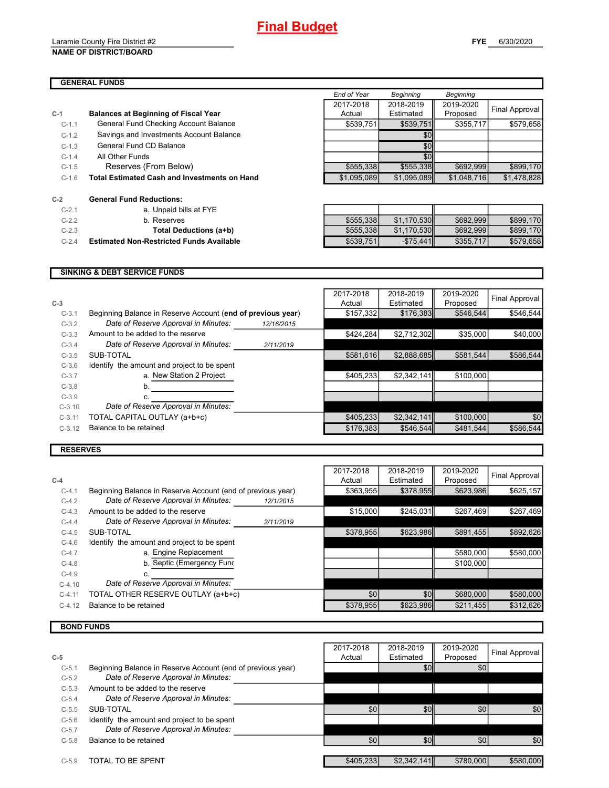#### Laramie County Fire District #2 **NAME OF DISTRICT/BOARD**

# **GENERAL FUNDS**

|         |                                                     | End of Year | Beginning   | Beginning   |                |
|---------|-----------------------------------------------------|-------------|-------------|-------------|----------------|
|         |                                                     | 2017-2018   | 2018-2019   | 2019-2020   |                |
| $C-1$   | <b>Balances at Beginning of Fiscal Year</b>         | Actual      | Estimated   | Proposed    | Final Approval |
| $C-1.1$ | General Fund Checking Account Balance               | \$539,751   | \$539,751   | \$355,717   | \$579,658      |
| $C-1.2$ | Savings and Investments Account Balance             |             | \$0         |             |                |
| $C-1.3$ | General Fund CD Balance                             |             | \$0         |             |                |
| $C-1.4$ | All Other Funds                                     |             | \$0         |             |                |
| $C-1.5$ | Reserves (From Below)                               | \$555,338   | \$555,338   | \$692,999   | \$899,170      |
| $C-1.6$ | <b>Total Estimated Cash and Investments on Hand</b> | \$1,095,089 | \$1.095.089 | \$1,048,716 | \$1,478,828    |
| $C-2$   | <b>General Fund Reductions:</b>                     |             |             |             |                |
| $C-2.1$ | a. Unpaid bills at FYE                              |             |             |             |                |
| $C-2.2$ | b. Reserves                                         | \$555,338   | \$1,170,530 | \$692,999   | \$899,170      |
| $C-2.3$ | Total Deductions (a+b)                              | \$555,338   | \$1,170,530 | \$692,999   | \$899,170      |
| $C-2.4$ | <b>Estimated Non-Restricted Funds Available</b>     | \$539.751   | $-$75.441$  | \$355.717   | \$579.658      |
|         |                                                     |             |             |             |                |

# **SINKING & DEBT SERVICE FUNDS**

|          |                                                             |            | 2017-2018 | 2018-2019   | 2019-2020 | Final Approval |
|----------|-------------------------------------------------------------|------------|-----------|-------------|-----------|----------------|
| $C-3$    |                                                             |            | Actual    | Estimated   | Proposed  |                |
| $C-3.1$  | Beginning Balance in Reserve Account (end of previous year) |            | \$157,332 | \$176,383   | \$546,544 | \$546.544      |
| $C-3.2$  | Date of Reserve Approval in Minutes:                        | 12/16/2015 |           |             |           |                |
| $C-3.3$  | Amount to be added to the reserve                           |            | \$424,284 | \$2,712,302 | \$35,000  | \$40,000       |
| $C-3.4$  | Date of Reserve Approval in Minutes:                        | 2/11/2019  |           |             |           |                |
| $C-3.5$  | SUB-TOTAL                                                   |            | \$581,616 | \$2,888,685 | \$581,544 | \$586,544      |
| $C-3.6$  | Identify the amount and project to be spent                 |            |           |             |           |                |
| $C-3.7$  | a. New Station 2 Project                                    |            | \$405,233 | \$2,342,141 | \$100,000 |                |
| $C-3.8$  | n.                                                          |            |           |             |           |                |
| $C-3.9$  |                                                             |            |           |             |           |                |
| $C-3.10$ | Date of Reserve Approval in Minutes:                        |            |           |             |           |                |
| $C-3.11$ | TOTAL CAPITAL OUTLAY (a+b+c)                                |            | \$405,233 | \$2,342,141 | \$100,000 | \$0            |
| $C-3.12$ | Balance to be retained                                      |            | \$176,383 | \$546,544   | \$481,544 | \$586,544      |
|          |                                                             |            |           |             |           |                |

# **RESERVES**

|          |                                                             |           | 2017-2018 | 2018-2019 | 2019-2020 | Final Approval |
|----------|-------------------------------------------------------------|-----------|-----------|-----------|-----------|----------------|
| $C-4$    |                                                             |           | Actual    | Estimated | Proposed  |                |
| $C-4.1$  | Beginning Balance in Reserve Account (end of previous year) |           | \$363,955 | \$378,955 | \$623.986 | \$625,157      |
| $C-4.2$  | Date of Reserve Approval in Minutes:                        | 12/1/2015 |           |           |           |                |
| $C-4.3$  | Amount to be added to the reserve                           |           | \$15,000  | \$245,031 | \$267,469 | \$267,469      |
| $C-4.4$  | Date of Reserve Approval in Minutes:                        | 2/11/2019 |           |           |           |                |
| $C-4.5$  | SUB-TOTAL                                                   |           | \$378.955 | \$623,986 | \$891,455 | \$892,626      |
| $C-4.6$  | Identify the amount and project to be spent                 |           |           |           |           |                |
| $C-4.7$  | a. Engine Replacement                                       |           |           |           | \$580,000 | \$580,000      |
| $C-4.8$  | b. Septic (Emergency Func                                   |           |           |           | \$100,000 |                |
| $C-4.9$  |                                                             |           |           |           |           |                |
| $C-4.10$ | Date of Reserve Approval in Minutes:                        |           |           |           |           |                |
| $C-4.11$ | TOTAL OTHER RESERVE OUTLAY (a+b+c)                          |           | \$0       | \$0       | \$680,000 | \$580,000      |
| $C-4.12$ | Balance to be retained                                      |           | \$378,955 | \$623,986 | \$211,455 | \$312,626      |
|          |                                                             |           |           |           |           |                |

# **BOND FUNDS**

|         |                                                             | 2017-2018 | 2018-2019        | 2019-2020 | Final Approval |
|---------|-------------------------------------------------------------|-----------|------------------|-----------|----------------|
| $C-5$   |                                                             | Actual    | Estimated        | Proposed  |                |
| $C-5.1$ | Beginning Balance in Reserve Account (end of previous year) |           | \$0 <sub>1</sub> | \$0       |                |
| $C-5.2$ | Date of Reserve Approval in Minutes:                        |           |                  |           |                |
| $C-5.3$ | Amount to be added to the reserve                           |           |                  |           |                |
| $C-5.4$ | Date of Reserve Approval in Minutes:                        |           |                  |           |                |
| $C-5.5$ | SUB-TOTAL                                                   | \$0       | \$0              | \$0       | \$0            |
| $C-5.6$ | Identify the amount and project to be spent                 |           |                  |           |                |
| $C-5.7$ | Date of Reserve Approval in Minutes:                        |           |                  |           |                |
| $C-5.8$ | Balance to be retained                                      | \$0       | \$0              | \$0       | \$0            |
|         |                                                             |           |                  |           |                |
| $C-5.9$ | TOTAL TO BE SPENT                                           | \$405,233 | \$2,342,141      | \$780,000 | \$580.000      |